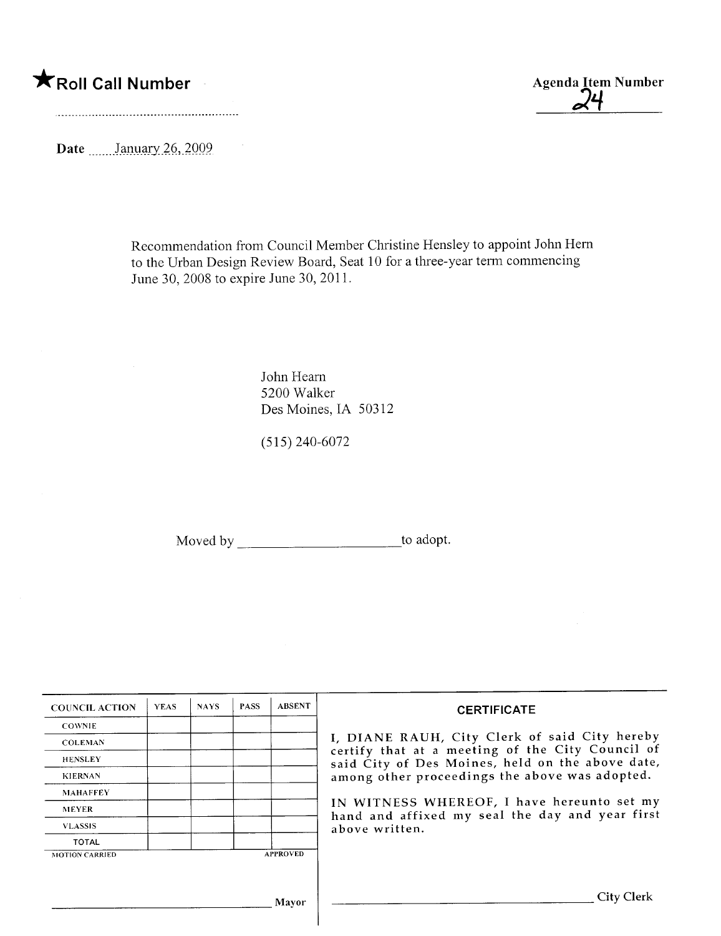\*Roll Call Number Agenda Item Number

;ii.

Date January  $26,2009$ 

 $\sim$ 

Recommendation from Council Member Christine Hensley to appoint John Hem to the Urban Design Review Board, Seat 10 for a three-year term commencing June 30, 2008 to expire June 30, 2011.

> John Hearn 5200 Walker Des Moines, IA 50312

(515) 240-6072

Moved by \_\_\_\_\_\_\_\_\_\_\_\_\_\_\_\_\_\_\_\_\_\_\_\_\_\_\_\_\_\_\_\_to adopt.

| <b>COUNCIL ACTION</b> | <b>YEAS</b> | <b>NAYS</b> | <b>PASS</b> | <b>ABSENT</b>   | <b>CERTIFICATE</b>                                                                                 |
|-----------------------|-------------|-------------|-------------|-----------------|----------------------------------------------------------------------------------------------------|
| <b>COWNIE</b>         |             |             |             |                 |                                                                                                    |
| <b>COLEMAN</b>        |             |             |             |                 | I, DIANE RAUH, City Clerk of said City hereby<br>certify that at a meeting of the City Council of  |
| <b>HENSLEY</b>        |             |             |             |                 | said City of Des Moines, held on the above date,<br>among other proceedings the above was adopted. |
| <b>KIERNAN</b>        |             |             |             |                 |                                                                                                    |
| <b>MAHAFFEY</b>       |             |             |             |                 |                                                                                                    |
| <b>MEYER</b>          |             |             |             |                 | IN WITNESS WHEREOF, I have hereunto set my<br>hand and affixed my seal the day and year first      |
| <b>VLASSIS</b>        |             |             |             |                 | above written.                                                                                     |
| <b>TOTAL</b>          |             |             |             |                 |                                                                                                    |
| <b>MOTION CARRIED</b> |             |             |             | <b>APPROVED</b> |                                                                                                    |
|                       |             |             |             |                 |                                                                                                    |
|                       |             |             |             | Mayor           | City Clerk                                                                                         |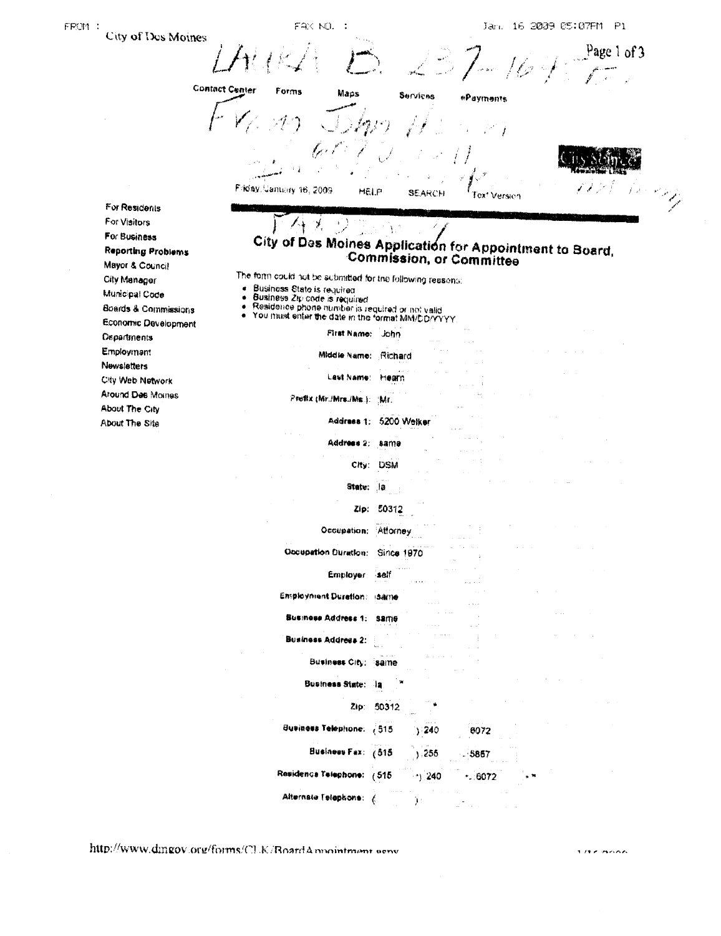| City of Des Moines               |                                                                                                          |
|----------------------------------|----------------------------------------------------------------------------------------------------------|
|                                  | Page 1 of 3                                                                                              |
|                                  | És :                                                                                                     |
|                                  | <b>Contact Center</b><br>Forms<br>Maps<br>Services<br>ePayments                                          |
|                                  |                                                                                                          |
|                                  |                                                                                                          |
|                                  |                                                                                                          |
|                                  |                                                                                                          |
|                                  |                                                                                                          |
|                                  | Friday, Canusay 16, 2009<br>HELP<br><b>SEARCH</b><br>Version<br>I ex*                                    |
| For Residents                    |                                                                                                          |
| For Visitors                     |                                                                                                          |
| For Business                     |                                                                                                          |
| <b>Reporting Problems</b>        | City of Des Moines Application for Appointment to Board,<br><b>Commission, or Committee</b>              |
| Mayor & Council                  |                                                                                                          |
| City Menager<br>Municipal Code   | The form could not be submitted for the following reasons:<br>Business State is required<br>۰            |
| Boards & Commissions             | $\bullet$<br>Business Zip code is required<br>۰                                                          |
| Economic Development             | Residence phone number is required or not valid<br>You must enter the date in the format MM/DD/YYYY<br>٠ |
| Departments                      | First Name: John                                                                                         |
| Employmant                       | Middle Name: Richard                                                                                     |
| Newsletters                      |                                                                                                          |
| City Web Network                 | Last Name:<br>M⊕arn                                                                                      |
| Around Des Moines                | Prefix (Mr./Mrs./Ms.):<br>:Mr.                                                                           |
| About The City<br>About The Site | Address 1:<br>5200 Welker                                                                                |
|                                  |                                                                                                          |
|                                  | Address 2:<br>samo                                                                                       |
|                                  | City:<br><b>DSM</b>                                                                                      |
|                                  | State:<br>,la                                                                                            |
|                                  |                                                                                                          |
|                                  | 50312<br>Zip:                                                                                            |
|                                  | Occupation:<br>Attorney                                                                                  |
|                                  | Occupation Duration: Since 1970                                                                          |
|                                  |                                                                                                          |
|                                  | Employer self                                                                                            |
|                                  | <b>Employment Duration: Isame</b>                                                                        |
|                                  | Business Address 1: Same                                                                                 |
|                                  | <b>Business Address 2:</b>                                                                               |
|                                  |                                                                                                          |
|                                  | Business City: Same                                                                                      |
|                                  | Business State:<br>-18                                                                                   |
|                                  |                                                                                                          |
|                                  | Zip: 50312                                                                                               |
|                                  | <b>Business Telephone:</b> (515)<br>8072<br>240 ز                                                        |
|                                  | Business Fax: (515<br>, 255<br>$-5857$                                                                   |
|                                  |                                                                                                          |
|                                  | Residence Telephone: (515<br>$(1)$ 240<br>.6072                                                          |
|                                  | Alternate Telephone: (<br>):                                                                             |

http://www.dmgov.org/forms/CLK/RoardAnnointment.comv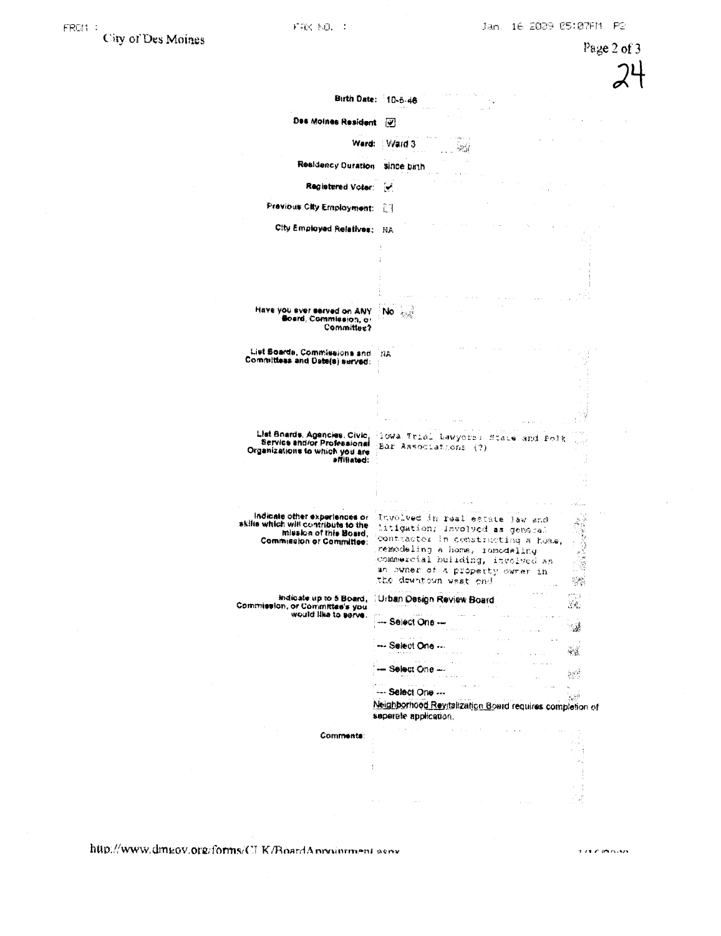Page 2 of 3 Birth Date: 10-5-46 Des Moines Resident (V)  $\mathcal{L}^{\pm}(\mathcal{L})$ Ward: Ward 3  $\sin^2\vec{f}$ Residency Duration since birth Registered Voter: (V) Previous City Employment: [3] City Employed Relatives: NA Have you ever served on ANY No and Board, Commission, or Committee? List Boards, Commissions and INA Committees and Date(s) served: List Boards, Agencies, Civic, 1994 Trial Lawyors; State and Polk<br>Service and/or Professional (Bar Associations (?)<br>Organizations to which you are<br>affiliated:<br>affiliated: i Aristi Indicate other experiences or<br>skifts which will contribute to the 12.2000 Involved in real estate law and litigation; involved as general mission of this Board,<br>Commission or Committee: contractor in constructing a home, nemodeling a home, remodeling commercial building, involved as an owner of a property owner in the dewntown west end.  $\mathcal{L}_{\mathcal{N}}^{(1)}$  $j, \cdots, j$  . indicate up to 5 Board, Urban Design Review Board Commission, or Committee's you.<br>would like to serve.  $\mathbb{R}^d$ --- Select One --్మశ --- Select One --- $\sim 3$  $\sim$   $\sim$  $\sim$  100  $\mu$ -- Select One --- $5\,\mathrm{W}$ --- Select One --- $\frac{1}{\sqrt{N^2}}$ Neighborhood Revitalization Board requires completion of seperate application.  $\sim$ **Comments:**  $\frac{1}{2}$ 

http://www.dmgov.org/forms/CI-K/BoardAnnoinrment serv-